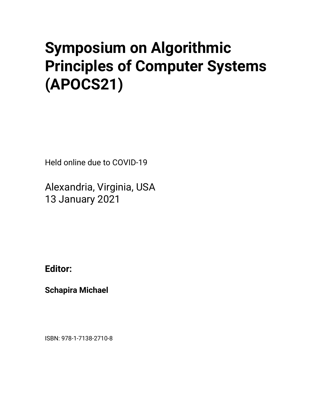# • **Symposium on Algorithmic Principles of Computer Systems (APOCS21)**

Held online due to COVID-19

Alexandria, Virginia, USA 13 January 2021

**Editor:**

**Schapira Michael**

ISBN: 978-1-7138-2710-8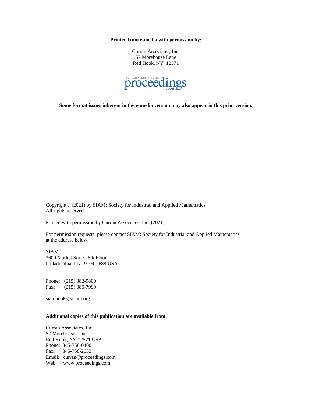**Printed from e-media with permission by:**

Curran Associates, Inc. 57 Morehouse Lane Red Hook, NY 12571



**Some format issues inherent in the e-media version may also appear in this print version.**

Copyright© (2021) by SIAM: Society for Industrial and Applied Mathematics All rights reserved.

Printed with permission by Curran Associates, Inc. (2021)

For permission requests, please contact SIAM: Society for Industrial and Applied Mathematics at the address below.

SIAM 3600 Market Street, 6th Floor Philadelphia, PA 19104-2688 USA

Phone: (215) 382-9800 Fax: (215) 386-7999

siambooks@siam.org

#### **Additional copies of this publication are available from:**

Curran Associates, Inc. 57 Morehouse Lane Red Hook, NY 12571 USA Phone: 845-758-0400 Fax: 845-758-2633 Email: curran@proceedings.com Web: www.proceedings.com